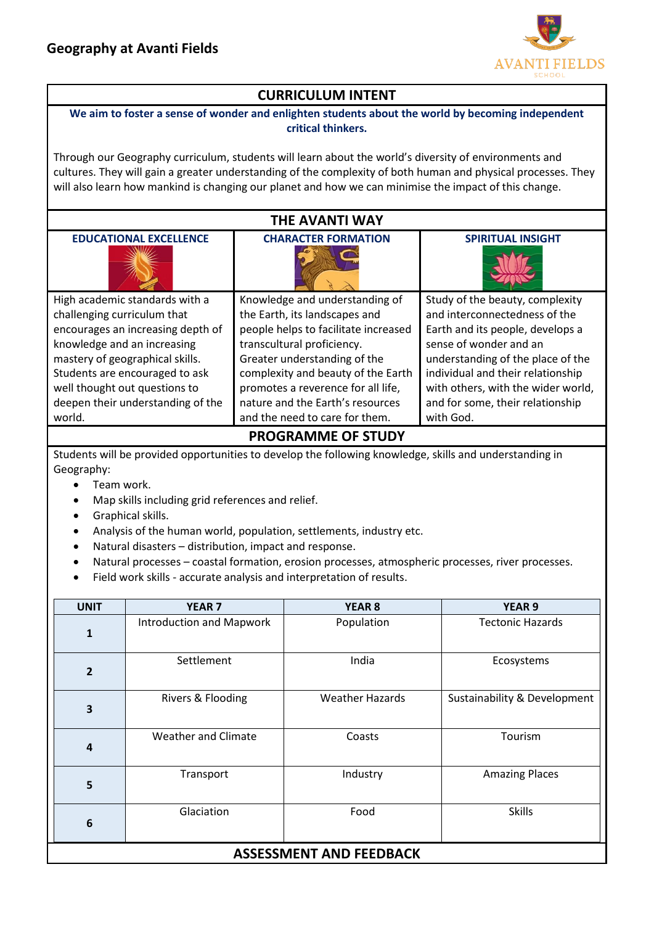

# **CURRICULUM INTENT**

#### **We aim to foster a sense of wonder and enlighten students about the world by becoming independent critical thinkers.**

Through our Geography curriculum, students will learn about the world's diversity of environments and cultures. They will gain a greater understanding of the complexity of both human and physical processes. They will also learn how mankind is changing our planet and how we can minimise the impact of this change.

## **THE AVANTI WAY**

| <b>CHARACTER FORMATION</b>           | <b>SPIRITUAL INSIGHT</b>           |
|--------------------------------------|------------------------------------|
| Knowledge and understanding of       | Study of the beauty, complexity    |
| the Earth, its landscapes and        | and interconnectedness of the      |
| people helps to facilitate increased | Earth and its people, develops a   |
| transcultural proficiency.           | sense of wonder and an             |
| Greater understanding of the         | understanding of the place of the  |
| complexity and beauty of the Earth   | individual and their relationship  |
| promotes a reverence for all life,   | with others, with the wider world, |
| nature and the Earth's resources     | and for some, their relationship   |
| and the need to care for them.       | with God.                          |
|                                      |                                    |

#### **PROGRAMME OF STUDY**

Students will be provided opportunities to develop the following knowledge, skills and understanding in Geography:

- Team work.
- Map skills including grid references and relief.
- Graphical skills.
- Analysis of the human world, population, settlements, industry etc.
- Natural disasters distribution, impact and response.
- Natural processes coastal formation, erosion processes, atmospheric processes, river processes.
- Field work skills accurate analysis and interpretation of results.

| <b>UNIT</b>                    | <b>YEAR 7</b>                   | <b>YEAR 8</b>          | <b>YEAR 9</b>                |  |
|--------------------------------|---------------------------------|------------------------|------------------------------|--|
| $\mathbf{1}$                   | <b>Introduction and Mapwork</b> | Population             | <b>Tectonic Hazards</b>      |  |
| $\overline{2}$                 | Settlement                      | India                  | Ecosystems                   |  |
| 3                              | Rivers & Flooding               | <b>Weather Hazards</b> | Sustainability & Development |  |
| $\overline{\mathbf{4}}$        | <b>Weather and Climate</b>      | Coasts                 | Tourism                      |  |
| 5                              | Transport                       | Industry               | <b>Amazing Places</b>        |  |
| $6\phantom{1}6$                | Glaciation                      | Food                   | <b>Skills</b>                |  |
| <b>ASSESSMENT AND FEEDBACK</b> |                                 |                        |                              |  |